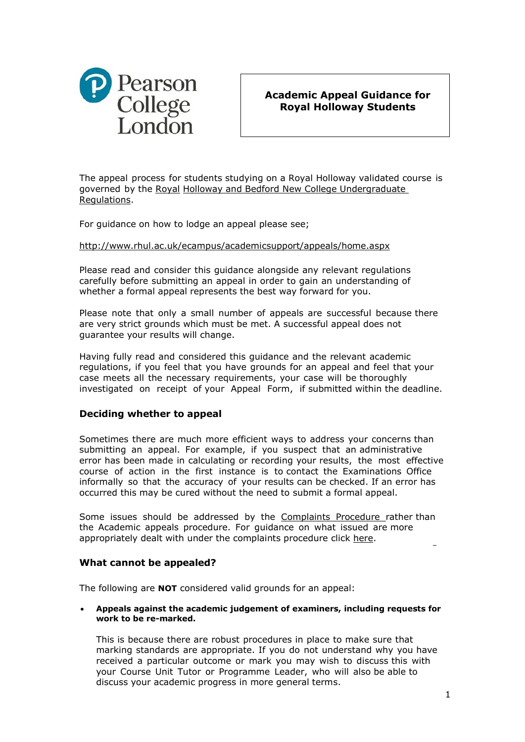

# **Academic Appeal Guidance for Royal Holloway Students**

The appeal process for students studying on a Royal Holloway validated course is governed by the [Royal](https://learn.pearsoncollege.com/bbcswebdav/xid-13280_1) Holloway and Bedford New College [Undergraduate](https://learn.pearsoncollege.com/bbcswebdav/xid-13280_1) [Regulations.](https://learn.pearsoncollege.com/bbcswebdav/xid-13280_1)

For guidance on how to lodge an appeal please see;

## <http://www.rhul.ac.uk/ecampus/academicsupport/appeals/home.aspx>

Please read and consider this guidance alongside any relevant regulations carefully before submitting an appeal in order to gain an understanding of whether a formal appeal represents the best way forward for you.

Please note that only a small number of appeals are successful because there are very strict grounds which must be met. A successful appeal does not guarantee your results will change.

Having fully read and considered this guidance and the relevant academic regulations, if you feel that you have grounds for an appeal and feel that your case meets all the necessary requirements, your case will be thoroughly investigated on receipt of your Appeal Form, if submitted within the deadline.

## **Deciding whether to appeal**

Sometimes there are much more efficient ways to address your concerns than submitting an appeal. For example, if you suspect that an administrative error has been made in calculating or recording your results, the most effective course of action in the first instance is to contact the Examinations Office informally so that the accuracy of your results can be checked. If an error has occurred this may be cured without the need to submit a formal appeal.

Some issues should be addressed by the [Complaints](https://learn.pearsoncollege.com/modules/_358_1/Pearson%20College%20Student%20Complaints%20procedure.pdf) Procedure rather than the Academic appeals procedure. For guidance on what issued are more appropriately dealt with under the complaints procedure click [here.](https://sites.google.com/a/pearsoncollege.com/student-services/home/do-i-have-a-complaint-or-an-academic-appeal)

## **What cannot be appealed?**

The following are **NOT** considered valid grounds for an appeal:

 **Appeals against the academic judgement of examiners, including requests for work to be re-marked.**

This is because there are robust procedures in place to make sure that marking standards are appropriate. If you do not understand why you have received a particular outcome or mark you may wish to discuss this with your Course Unit Tutor or Programme Leader, who will also be able to discuss your academic progress in more general terms.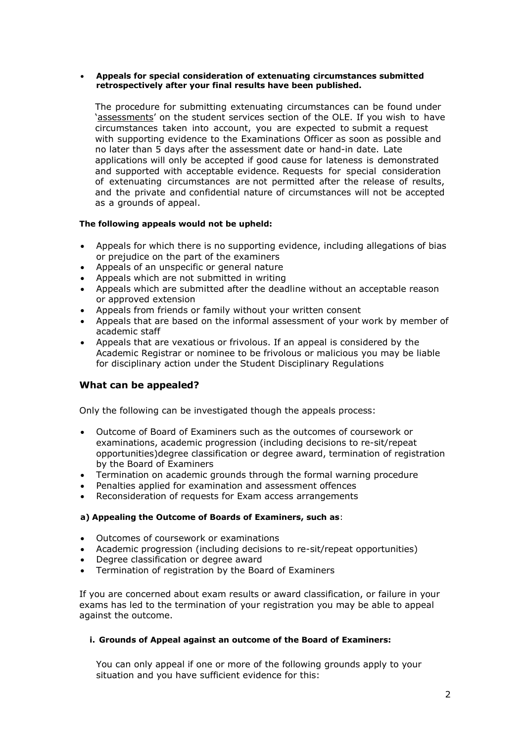#### **Appeals for special consideration of extenuating circumstances submitted retrospectively after your final results have been published.**

The procedure for submitting extenuating circumstances can be found under '[assessments](https://sites.google.com/a/pearsoncollege.com/student-services/home/guidance-for-extenuating-circumstances---level-6)' on the student services section of the OLE. If you wish to have circumstances taken into account, you are expected to submit a request with supporting evidence to the Examinations Officer as soon as possible and no later than 5 days after the assessment date or hand-in date. Late applications will only be accepted if good cause for lateness is demonstrated and supported with acceptable evidence. Requests for special consideration of extenuating circumstances are not permitted after the release of results, and the private and confidential nature of circumstances will not be accepted as a grounds of appeal.

#### **The following appeals would not be upheld:**

- Appeals for which there is no supporting evidence, including allegations of bias or prejudice on the part of the examiners
- Appeals of an unspecific or general nature
- Appeals which are not submitted in writing
- Appeals which are submitted after the deadline without an acceptable reason or approved extension
- Appeals from friends or family without your written consent
- Appeals that are based on the informal assessment of your work by member of academic staff
- Appeals that are vexatious or frivolous. If an appeal is considered by the Academic Registrar or nominee to be frivolous or malicious you may be liable for disciplinary action under the Student Disciplinary Regulations

## **What can be appealed?**

Only the following can be investigated though the appeals process:

- Outcome of Board of Examiners such as the outcomes of coursework or examinations, academic progression (including decisions to re-sit/repeat opportunities)degree classification or degree award, termination of registration by the Board of Examiners
- Termination on academic grounds through the formal warning procedure
- Penalties applied for examination and assessment offences
- Reconsideration of requests for Exam access arrangements

#### **a) Appealing the Outcome of Boards of Examiners, such as**:

- Outcomes of coursework or examinations
- Academic progression (including decisions to re-sit/repeat opportunities)
- Degree classification or degree award
- Termination of registration by the Board of Examiners

If you are concerned about exam results or award classification, or failure in your exams has led to the termination of your registration you may be able to appeal against the outcome.

#### **i. Grounds of Appeal against an outcome of the Board of Examiners:**

You can only appeal if one or more of the following grounds apply to your situation and you have sufficient evidence for this: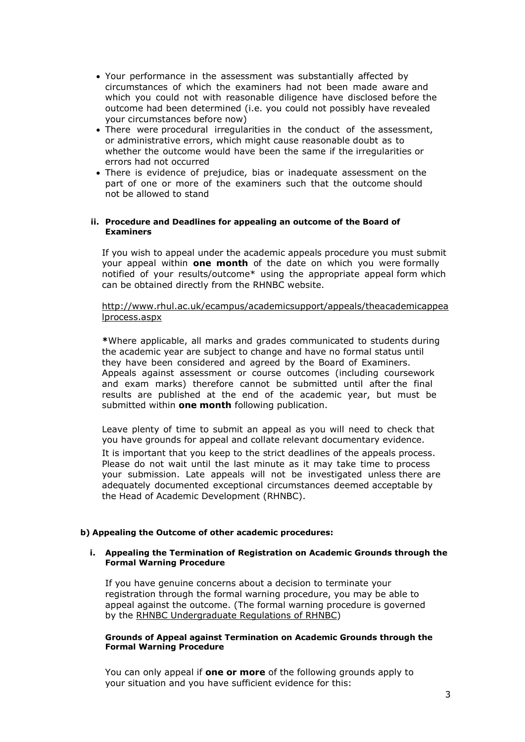- Your performance in the assessment was substantially affected by circumstances of which the examiners had not been made aware and which you could not with reasonable diligence have disclosed before the outcome had been determined (i.e. you could not possibly have revealed your circumstances before now)
- There were procedural irregularities in the conduct of the assessment, or administrative errors, which might cause reasonable doubt as to whether the outcome would have been the same if the irregularities or errors had not occurred
- There is evidence of prejudice, bias or inadequate assessment on the part of one or more of the examiners such that the outcome should not be allowed to stand

#### **ii. Procedure and Deadlines for appealing an outcome of the Board of Examiners**

If you wish to appeal under the academic appeals procedure you must submit your appeal within **one month** of the date on which you were formally notified of your results/outcome\* using the appropriate appeal form which can be obtained directly from the RHNBC website.

[http://www.rhul.ac.uk/ecampus/academicsupport/appeals/theacademicappea](http://www.rhul.ac.uk/ecampus/academicsupport/appeals/theacademicappealprocess.aspx) [lprocess.aspx](http://www.rhul.ac.uk/ecampus/academicsupport/appeals/theacademicappealprocess.aspx)

**\***Where applicable, all marks and grades communicated to students during the academic year are subject to change and have no formal status until they have been considered and agreed by the Board of Examiners. Appeals against assessment or course outcomes (including coursework and exam marks) therefore cannot be submitted until after the final results are published at the end of the academic year, but must be submitted within **one month** following publication.

Leave plenty of time to submit an appeal as you will need to check that you have grounds for appeal and collate relevant documentary evidence.

It is important that you keep to the strict deadlines of the appeals process. Please do not wait until the last minute as it may take time to process your submission. Late appeals will not be investigated unless there are adequately documented exceptional circumstances deemed acceptable by the Head of Academic Development (RHNBC).

## **b) Appealing the Outcome of other academic procedures:**

#### **i. Appealing the Termination of Registration on Academic Grounds through the Formal Warning Procedure**

If you have genuine concerns about a decision to terminate your registration through the formal warning procedure, you may be able to appeal against the outcome. (The formal warning procedure is governed by the RHNBC [Undergraduate](https://learn.pearsoncollege.com/bbcswebdav/xid-13280_1) Regulations of RHNBC)

#### **Grounds of Appeal against Termination on Academic Grounds through the Formal Warning Procedure**

You can only appeal if **one or more** of the following grounds apply to your situation and you have sufficient evidence for this: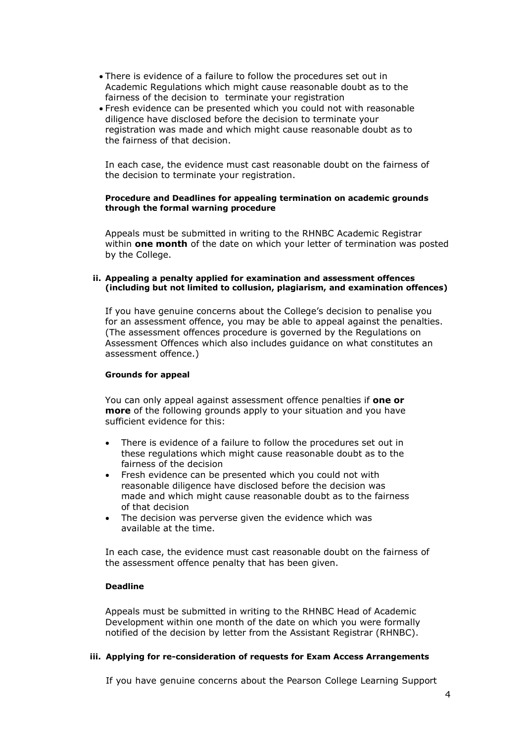- There is evidence of a failure to follow the procedures set out in Academic Regulations which might cause reasonable doubt as to the fairness of the decision to terminate your registration
- Fresh evidence can be presented which you could not with reasonable diligence have disclosed before the decision to terminate your registration was made and which might cause reasonable doubt as to the fairness of that decision.

In each case, the evidence must cast reasonable doubt on the fairness of the decision to terminate your registration.

#### **Procedure and Deadlines for appealing termination on academic grounds through the formal warning procedure**

Appeals must be submitted in writing to the RHNBC Academic Registrar within **one month** of the date on which your letter of termination was posted by the College.

#### **ii. Appealing a penalty applied for examination and assessment offences (including but not limited to collusion, plagiarism, and examination offences)**

If you have genuine concerns about the College's decision to penalise you for an assessment offence, you may be able to appeal against the penalties. (The assessment offences procedure is governed by the [Regulations](http://www.rhul.ac.uk/ecampus/academicsupport/regulations/home.aspx) on [Assessment](http://www.rhul.ac.uk/ecampus/academicsupport/regulations/home.aspx) Offences which also includes guidance on what constitutes an assessment offence.)

#### **Grounds for appeal**

You can only appeal against assessment offence penalties if **one or more** of the following grounds apply to your situation and you have sufficient evidence for this:

- There is evidence of a failure to follow the procedures set out in these regulations which might cause reasonable doubt as to the fairness of the decision
- Fresh evidence can be presented which you could not with reasonable diligence have disclosed before the decision was made and which might cause reasonable doubt as to the fairness of that decision
- The decision was perverse given the evidence which was available at the time.

In each case, the evidence must cast reasonable doubt on the fairness of the assessment offence penalty that has been given.

## **Deadline**

Appeals must be submitted in writing to the RHNBC Head of Academic Development within one month of the date on which you were formally notified of the decision by letter from the Assistant Registrar (RHNBC).

#### **iii. Applying for re-consideration of requests for Exam Access Arrangements**

If you have genuine concerns about the Pearson College Learning Support